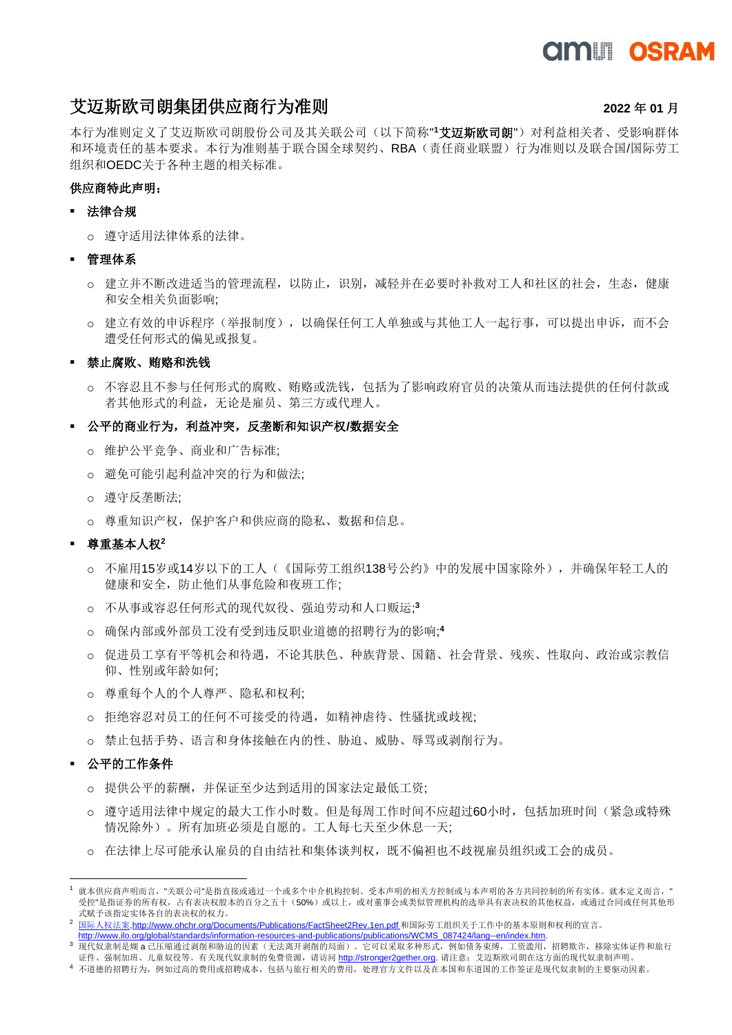## **AMIT OSRAM**

### 艾迈斯欧司朗集团供应商行为准则 **2022** 年 **01** 月

本行为准则定义了艾迈斯欧司朗股份公司及其关联公司(以下简称"**'艾迈斯欧司朗**")对利益相关者、受影响群体 和环境责任的基本要求。本行为准则基于联合国全球契约、RBA(责任商业联盟)行为准则以及联合国/国际劳工 组织和OEDC关于各种主题的相关标准。

### 供应商特此声明:

### ▪ 法律合规

o 遵守适用法律体系的法律。

### ■ 管理体系

- o 建立并不断改进适当的管理流程,以防止,识别,减轻并在必要时补救对工人和社区的社会,生态,健康 和安全相关负面影响;
- o 建立有效的申诉程序(举报制度),以确保任何工人单独或与其他工人一起行事,可以提出申诉,而不会 遭受任何形式的偏见或报复。

### ■ 禁止腐败、贿赂和洗钱

o 不容忍且不参与任何形式的腐败、贿赂或洗钱,包括为了影响政府官员的决策从而违法提供的任何付款或 者其他形式的利益,无论是雇员、第三方或代理人。

### ▪ 公平的商业行为,利益冲突,反垄断和知识产权**/**数据安全

- o 维护公平竞争、商业和广告标准;
- o 避免可能引起利益冲突的行为和做法;
- o 遵守反垄断法;
- o 尊重知识产权,保护客户和供应商的隐私、数据和信息。

### ▪ 尊重基本人权**<sup>2</sup>**

- o 不雇用15岁或14岁以下的工人(《国际劳工组织138号公约》中的发展中国家除外),并确保年轻工人的 健康和安全,防止他们从事危险和夜班工作;
- o 不从事或容忍任何形式的现代奴役、强迫劳动和人口贩运; **3**
- o 确保内部或外部员工没有受到违反职业道德的招聘行为的影响; **4**
- o 促进员工享有平等机会和待遇,不论其肤色、种族背景、国籍、社会背景、残疾、性取向、政治或宗教信 仰、性别或年龄如何;
- o 尊重每个人的个人尊严、隐私和权利;
- o 拒绝容忍对员工的任何不可接受的待遇,如精神虐待、性骚扰或歧视;
- o 禁止包括手势、语言和身体接触在内的性、胁迫、威胁、辱骂或剥削行为。

### 公平的工作条件

- o 提供公平的薪酬,并保证至少达到适用的国家法定最低工资;
- o 遵守适用法律中规定的最大工作小时数。但是每周工作时间不应超过60小时,包括加班时间(紧急或特殊 情况除外)。所有加班必须是自愿的。工人每七天至少休息一天;
- o 在法律上尽可能承认雇员的自由结社和集体谈判权,既不偏袒也不歧视雇员组织或工会的成员。

[http://www.ilo.org/global/standards/information-resources-and-publications/publications/WCMS\\_087424/lang--en/index.htm.](http://www.ilo.org/global/standards/information-resources-and-publications/publications/WCMS_087424/lang--en/index.htm)

就本供应商声明而言, "关联公司"是指直接或通过一个或多个中介机构控制、受本声明的相关方控制或与本声明的各方共同控制的所有实体。就本定义而言, " 受控"是指证券的所有权,占有表决权股本的百分之五十(50%)或以上,或对董事会或类似管理机构的选举具有表决权的其他权益,或通过合同或任何其他形 式赋予该指定实体各自的表决权的权力。

<sup>2</sup> [国际人权法案](http://www.ohchr.org/Documents/Publications/FactSheet2Rev.1en.pdf)[,http://www.ohchr.org/Documents/Publications/FactSheet2Rev.1en.pdf](http://www.ohchr.org/Documents/Publications/FactSheet2Rev.1en.pdf) 和国际劳工组织关于工作中的基本原则和权利的宣言。

<sup>3</sup> 现代奴隶制是煳 a 已压缩通过剥削和胁迫的因素(无法离开剥削的局面)。它可以采取多种形式,例如债务束缚,工资滥用,招聘欺诈,移除实体证件和旅行 证件、强制加班、儿童奴役等。有关现代奴隶制的免费资源,请访问 [http://stronger2gether.org.](http://stronger2gether.org/) 请注意: 艾迈斯欧司朗在这方面的现代奴隶制声明。

<sup>4</sup> 不道德的招聘行为,例如过高的费用或招聘成本,包括与旅行相关的费用,处理官方文件以及在本国和东道国的工作签证是现代奴隶制的主要驱动因素。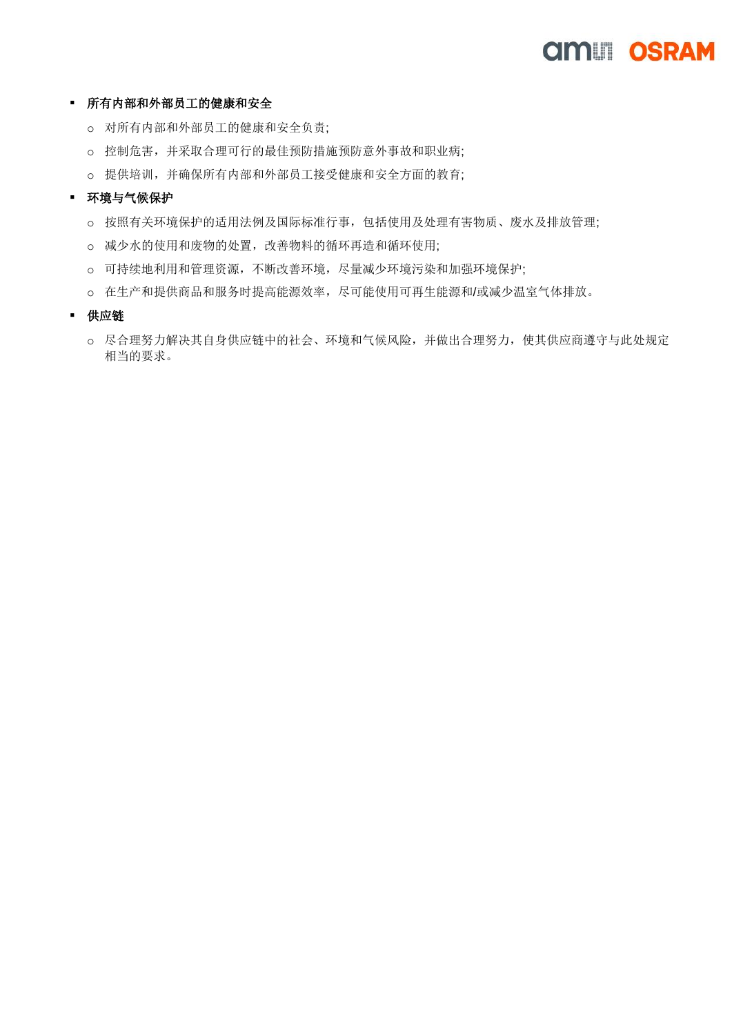## *CIMUI OSRAM*

### ▪ 所有内部和外部员工的健康和安全

- o 对所有内部和外部员工的健康和安全负责;
- o 控制危害,并采取合理可行的最佳预防措施预防意外事故和职业病;
- o 提供培训,并确保所有内部和外部员工接受健康和安全方面的教育;

### ▪ 环境与气候保护

- o 按照有关环境保护的适用法例及国际标准行事,包括使用及处理有害物质、废水及排放管理;
- o 减少水的使用和废物的处置,改善物料的循环再造和循环使用;
- o 可持续地利用和管理资源,不断改善环境,尽量减少环境污染和加强环境保护;
- o 在生产和提供商品和服务时提高能源效率,尽可能使用可再生能源和/或减少温室气体排放。
- 供应链
	- o 尽合理努力解决其自身供应链中的社会、环境和气候风险,并做出合理努力,使其供应商遵守与此处规定 相当的要求。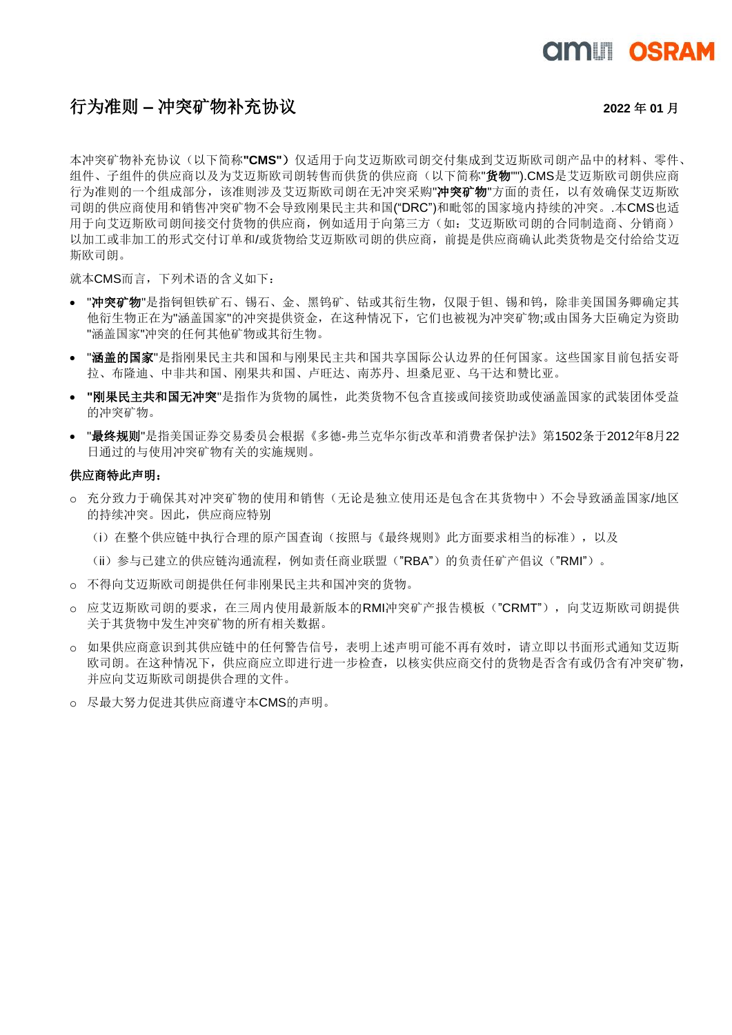# **AMIT OSRAM**

### 行为准则 **–** 冲突矿物补充协议 **<sup>2022</sup>** <sup>年</sup> **<sup>01</sup>** <sup>月</sup>

本冲突矿物补充协议(以下简称**"CMS"**)仅适用于向艾迈斯欧司朗交付集成到艾迈斯欧司朗产品中的材料、零件、 组件、子组件的供应商以及为艾迈斯欧司朗转售而供货的供应商(以下简称"货物").CMS是艾迈斯欧司朗供应商 行为准则的一个组成部分,该准则涉及艾迈斯欧司朗在无冲突采购"冲突矿物"方面的责任,以有效确保艾迈斯欧 司朗的供应商使用和销售冲突矿物不会导致刚果民主共和国("DRC")和毗邻的国家境内持续的冲突。.本CMS也适 用于向艾迈斯欧司朗间接交付货物的供应商,例如适用于向第三方(如:艾迈斯欧司朗的合同制造商、分销商) 以加工或非加工的形式交付订单和/或货物给艾迈斯欧司朗的供应商,前提是供应商确认此类货物是交付给给艾迈 斯欧司朗。

就本CMS而言,下列术语的含义如下:

- "冲突矿物"是指钶钽铁矿石、锡石、金、黑钨矿、钴或其衍生物,仅限于钽、锡和钨,除非美国国务卿确定其 他衍生物正在为"涵盖国家"的冲突提供资金,在这种情况下,它们也被视为冲突矿物;或由国务大臣确定为资助 "涵盖国家"冲突的任何其他矿物或其衍生物。
- "涵盖的国家"是指刚果民主共和国和与刚果民主共和国共享国际公认边界的任何国家。这些国家目前包括安哥 拉、布隆迪、中非共和国、刚果共和国、卢旺达、南苏丹、坦桑尼亚、乌干达和赞比亚。
- **"**刚果民主共和国无冲突"是指作为货物的属性,此类货物不包含直接或间接资助或使涵盖国家的武装团体受益 的冲突矿物。
- "最终规则"是指美国证券交易委员会根据《多德-弗兰克华尔街改革和消费者保护法》第1502条于2012年8月22 日通过的与使用冲突矿物有关的实施规则。

#### 供应商特此声明:

- o 充分致力于确保其对冲突矿物的使用和销售(无论是独立使用还是包含在其货物中)不会导致涵盖国家/地区 的持续冲突。因此,供应商应特别
	- (i)在整个供应链中执行合理的原产国查询(按照与《最终规则》此方面要求相当的标准),以及
	- (ii)参与已建立的供应链沟通流程,例如责任商业联盟("RBA")的负责任矿产倡议("RMI")。
- o 不得向艾迈斯欧司朗提供任何非刚果民主共和国冲突的货物。
- o 应艾迈斯欧司朗的要求,在三周内使用最新版本的RMI冲突矿产报告模板("CRMT"),向艾迈斯欧司朗提供 关于其货物中发生冲突矿物的所有相关数据。
- o 如果供应商意识到其供应链中的任何警告信号,表明上述声明可能不再有效时,请立即以书面形式通知艾迈斯 欧司朗。在这种情况下,供应商应立即进行进一步检查,以核实供应商交付的货物是否含有或仍含有冲突矿物, 并应向艾迈斯欧司朗提供合理的文件。
- o 尽最大努力促进其供应商遵守本CMS的声明。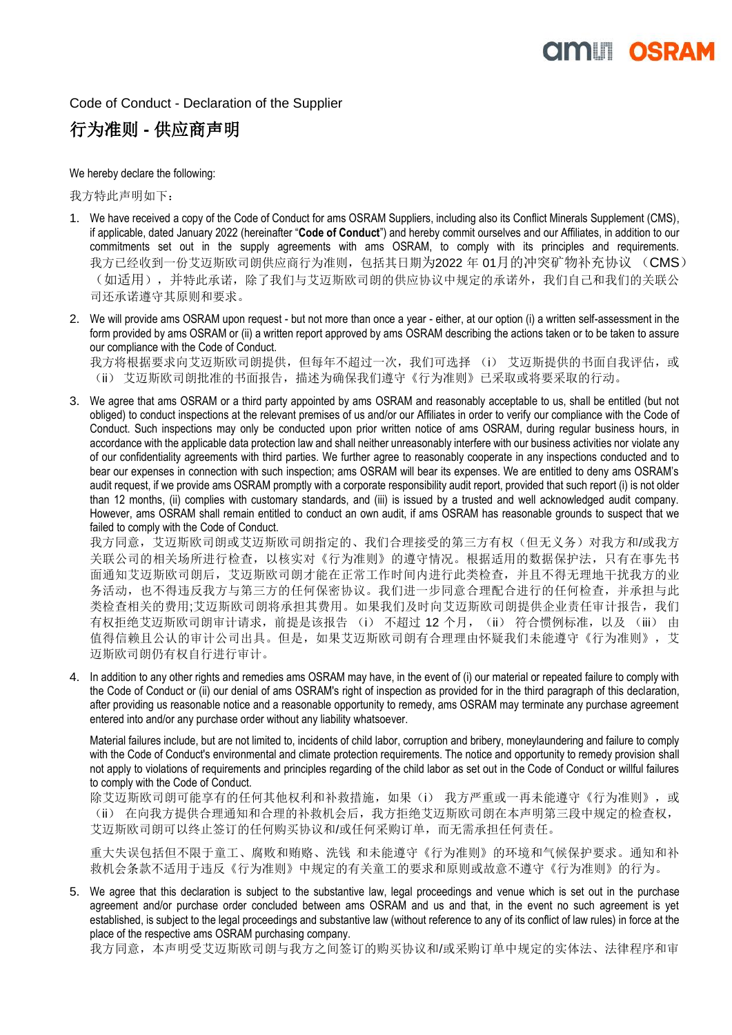# **AMIT OSRAI**

Code of Conduct - Declaration of the Supplier

### 行为准则 **-** 供应商声明

We hereby declare the following:

我方特此声明如下:

- 1. We have received a copy of the Code of Conduct for ams OSRAM Suppliers, including also its Conflict Minerals Supplement (CMS), if applicable, dated January 2022 (hereinafter "**Code of Conduct**") and hereby commit ourselves and our Affiliates, in addition to our commitments set out in the supply agreements with ams OSRAM, to comply with its principles and requirements. 我方已经收到一份艾迈斯欧司朗供应商行为准则,包括其日期为2022 年 01月的冲突矿物补充协议 (CMS) (如适用),并特此承诺,除了我们与艾迈斯欧司朗的供应协议中规定的承诺外,我们自己和我们的关联公 司还承诺遵守其原则和要求。
- 2. We will provide ams OSRAM upon request but not more than once a year either, at our option (i) a written self-assessment in the form provided by ams OSRAM or (ii) a written report approved by ams OSRAM describing the actions taken or to be taken to assure our compliance with the Code of Conduct.

我方将根据要求向艾迈斯欧司朗提供,但每年不超过一次,我们可选择 (i) 艾迈斯提供的书面自我评估,或 (ii) 艾迈斯欧司朗批准的书面报告,描述为确保我们遵守《行为准则》已采取或将要采取的行动。

3. We agree that ams OSRAM or a third party appointed by ams OSRAM and reasonably acceptable to us, shall be entitled (but not obliged) to conduct inspections at the relevant premises of us and/or our Affiliates in order to verify our compliance with the Code of Conduct. Such inspections may only be conducted upon prior written notice of ams OSRAM, during regular business hours, in accordance with the applicable data protection law and shall neither unreasonably interfere with our business activities nor violate any of our confidentiality agreements with third parties. We further agree to reasonably cooperate in any inspections conducted and to bear our expenses in connection with such inspection; ams OSRAM will bear its expenses. We are entitled to deny ams OSRAM's audit request, if we provide ams OSRAM promptly with a corporate responsibility audit report, provided that such report (i) is not older than 12 months, (ii) complies with customary standards, and (iii) is issued by a trusted and well acknowledged audit company. However, ams OSRAM shall remain entitled to conduct an own audit, if ams OSRAM has reasonable grounds to suspect that we failed to comply with the Code of Conduct.

我方同意,艾迈斯欧司朗尔的人的人,我们合理接受的第三方有权(但无义务)对我方和/或我方 关联公司的相关场所进行检查,以核实对《行为准则》的遵守情况。根据适用的数据保护法,只有在事先书 面通知艾迈斯欧司朗后,艾迈斯欧司朗才能在正常工作时间内进行此类检查,并且不得无理地干扰我方的业 务活动,也不得违反我方与第三方的任何保密协议。我们进一步同意合理配合进行的任何检查,并承担与此 类检查相关的费用;艾迈斯欧司朗将承担其费用。如果我们及时向艾迈斯欧司朗提供企业责任审计报告,我们 有权拒绝艾迈斯欧司朗审计请求,前提是该报告 (i) 不超过 12 个月, (ii) 符合惯例标准, 以及 (iii) 由 值得信赖且公认的审计公司出具。但是,如果艾迈斯欧司朗有合理理由怀疑我们未能遵守《行为准则》,艾 迈斯欧司朗仍有权自行进行审计。

4. In addition to any other rights and remedies ams OSRAM may have, in the event of (i) our material or repeated failure to comply with the Code of Conduct or (ii) our denial of ams OSRAM's right of inspection as provided for in the third paragraph of this declaration, after providing us reasonable notice and a reasonable opportunity to remedy, ams OSRAM may terminate any purchase agreement entered into and/or any purchase order without any liability whatsoever.

Material failures include, but are not limited to, incidents of child labor, corruption and bribery, moneylaundering and failure to comply with the Code of Conduct's environmental and climate protection requirements. The notice and opportunity to remedy provision shall not apply to violations of requirements and principles regarding of the child labor as set out in the Code of Conduct or willful failures to comply with the Code of Conduct.

除艾迈斯欧司朗可能享有的任何其他权利和补救措施,如果(i) 我方严重或一再未能遵守《行为准则》,或 (ii) 在向我方提供合理通知和合理的补救机会后,我方拒绝艾迈斯欧司朗在本声明第三段中规定的检查权, 艾迈斯欧司朗可以终止签订的任何购买协议和/或任何采购订单,而无需承担任何责任。

重大失误包括但不限于童工、腐败和贿赂、洗钱 和未能遵守《行为准则》的环境和气候保护要求。通知和补 救机会条款不适用于违反《行为准则》中规定的有关童工的要求和原则或故意不遵守《行为准则》的行为。

5. We agree that this declaration is subject to the substantive law, legal proceedings and venue which is set out in the purchase agreement and/or purchase order concluded between ams OSRAM and us and that, in the event no such agreement is yet established, is subject to the legal proceedings and substantive law (without reference to any of its conflict of law rules) in force at the place of the respective ams OSRAM purchasing company.

我方同意,本声明受艾迈斯欧司朗与我方之间签订的购买协议和/或采购订单中规定的实体法、法律程序和审